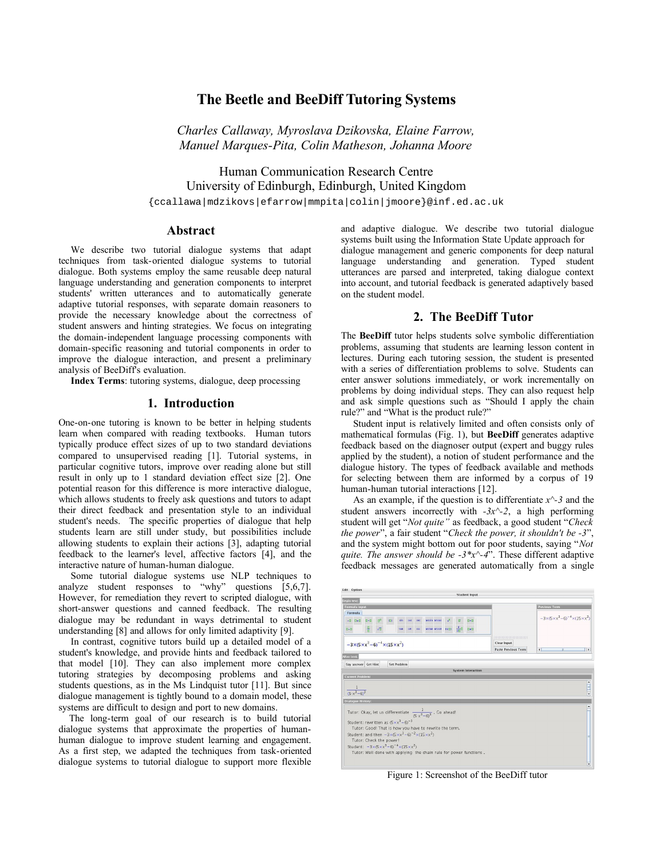# **The Beetle and BeeDiff Tutoring Systems**

*Charles Callaway, Myroslava Dzikovska, Elaine Farrow, Manuel Marques-Pita, Colin Matheson, Johanna Moore*

Human Communication Research Centre University of Edinburgh, Edinburgh, United Kingdom {ccallawa|mdzikovs|efarrow|mmpita|colin|jmoore}@inf.ed.ac.uk

#### **Abstract**

We describe two tutorial dialogue systems that adapt techniques from task-oriented dialogue systems to tutorial dialogue. Both systems employ the same reusable deep natural language understanding and generation components to interpret students' written utterances and to automatically generate adaptive tutorial responses, with separate domain reasoners to provide the necessary knowledge about the correctness of student answers and hinting strategies. We focus on integrating the domain-independent language processing components with domain-specific reasoning and tutorial components in order to improve the dialogue interaction, and present a preliminary analysis of BeeDiff's evaluation.

**Index Terms**: tutoring systems, dialogue, deep processing

### **1. Introduction**

One-on-one tutoring is known to be better in helping students learn when compared with reading textbooks. Human tutors typically produce effect sizes of up to two standard deviations compared to unsupervised reading [1]. Tutorial systems, in particular cognitive tutors, improve over reading alone but still result in only up to 1 standard deviation effect size [2]. One potential reason for this difference is more interactive dialogue, which allows students to freely ask questions and tutors to adapt their direct feedback and presentation style to an individual student's needs. The specific properties of dialogue that help students learn are still under study, but possibilities include allowing students to explain their actions [3], adapting tutorial feedback to the learner's level, affective factors [4], and the interactive nature of human-human dialogue.

Some tutorial dialogue systems use NLP techniques to analyze student responses to "why" questions [5.6.7]. However, for remediation they revert to scripted dialogue, with short-answer questions and canned feedback. The resulting dialogue may be redundant in ways detrimental to student understanding [8] and allows for only limited adaptivity [9].

In contrast, cognitive tutors build up a detailed model of a student's knowledge, and provide hints and feedback tailored to that model [10]. They can also implement more complex tutoring strategies by decomposing problems and asking students questions, as in the Ms Lindquist tutor [11]. But since dialogue management is tightly bound to a domain model, these systems are difficult to design and port to new domains.

The long-term goal of our research is to build tutorial dialogue systems that approximate the properties of humanhuman dialogue to improve student learning and engagement. As a first step, we adapted the techniques from task-oriented dialogue systems to tutorial dialogue to support more flexible and adaptive dialogue. We describe two tutorial dialogue systems built using the Information State Update approach for dialogue management and generic components for deep natural language understanding and generation. Typed student utterances are parsed and interpreted, taking dialogue context into account, and tutorial feedback is generated adaptively based on the student model.

# **2. The BeeDiff Tutor**

The **BeeDiff** tutor helps students solve symbolic differentiation problems, assuming that students are learning lesson content in lectures. During each tutoring session, the student is presented with a series of differentiation problems to solve. Students can enter answer solutions immediately, or work incrementally on problems by doing individual steps. They can also request help and ask simple questions such as "Should I apply the chain rule?" and "What is the product rule?"

Student input is relatively limited and often consists only of mathematical formulas (Fig. 1), but **BeeDiff** generates adaptive feedback based on the diagnoser output (expert and buggy rules applied by the student), a notion of student performance and the dialogue history. The types of feedback available and methods for selecting between them are informed by a corpus of 19 human-human tutorial interactions [12].

As an example, if the question is to differentiate *x^-3* and the student answers incorrectly with *-3x^-2*, a high performing student will get "*Not quite"* as feedback, a good student "*Check the power*", a fair student "*Check the power, it shouldn't be -3*", and the system might bottom out for poor students, saying "*Not quite. The answer should be -3\*x^-4*". These different adaptive feedback messages are generated automatically from a single

| Begin text:                                                                                                                                                                                                     |                                                     |                                                    |
|-----------------------------------------------------------------------------------------------------------------------------------------------------------------------------------------------------------------|-----------------------------------------------------|----------------------------------------------------|
| <b>Formula</b> input                                                                                                                                                                                            |                                                     | <b>Previous Term</b>                               |
| <b>Formula</b><br>$-0$ 0+0 0×0 $0^0$<br>arcsin arccos<br>$e^0$<br>$B = D$<br>CDI<br>$\mathbf{G}^*$<br>581<br>$COS = 500$<br>est arctan arccot In(B) d<br>몪<br>$B \neq 0$<br>$\sqrt{0}$<br>$n - n$<br>tan<br>cot |                                                     | $-3\times(5\times x^3-6)^{-4}\times(15\times x^2)$ |
| $-3\times(5\times x^3-6)^{-4}\times(15\times x^2)$                                                                                                                                                              | ,,,,,,,,,,,,,,,,,,,,,,,,,,,,,<br><b>Clear Input</b> |                                                    |
|                                                                                                                                                                                                                 | <b>Paste Previous Term</b>                          | $\overline{4}$<br>$\overline{\phantom{a}}$         |
| After text:                                                                                                                                                                                                     |                                                     |                                                    |
| Say answer Get Hint<br><b>Set Problem</b>                                                                                                                                                                       |                                                     |                                                    |
| <b>System Interaction</b>                                                                                                                                                                                       |                                                     |                                                    |
| <b>Current Problem:</b>                                                                                                                                                                                         |                                                     |                                                    |
|                                                                                                                                                                                                                 |                                                     |                                                    |
|                                                                                                                                                                                                                 |                                                     |                                                    |
| $\frac{1}{(5 \cdot x^3 - 6)^3}$                                                                                                                                                                                 |                                                     |                                                    |
| <b>Dialogue History:</b>                                                                                                                                                                                        |                                                     |                                                    |
|                                                                                                                                                                                                                 |                                                     |                                                    |
| Tutor: Okay, let us differentiate $\frac{1}{(5 \cdot x^3 - 6)^3}$ . Go ahead!<br>Student: rewritten as $(5 \times x^3 - 6)^{-3}$                                                                                |                                                     |                                                    |
| Tutor: Good! That is how you have to rewrite the term.                                                                                                                                                          |                                                     |                                                    |
| Student: and then $-3\times (5\times x^3-6)^{-2}\times (15\times x^2)$                                                                                                                                          |                                                     |                                                    |
| Tutor: Check the power!                                                                                                                                                                                         |                                                     |                                                    |
| Student: $-3\times(5\times x^3-6)^{-4}\times(15\times x^2)$<br>Tutor: Well done with applying the chain rule for power functions.                                                                               |                                                     |                                                    |

Figure 1: Screenshot of the BeeDiff tutor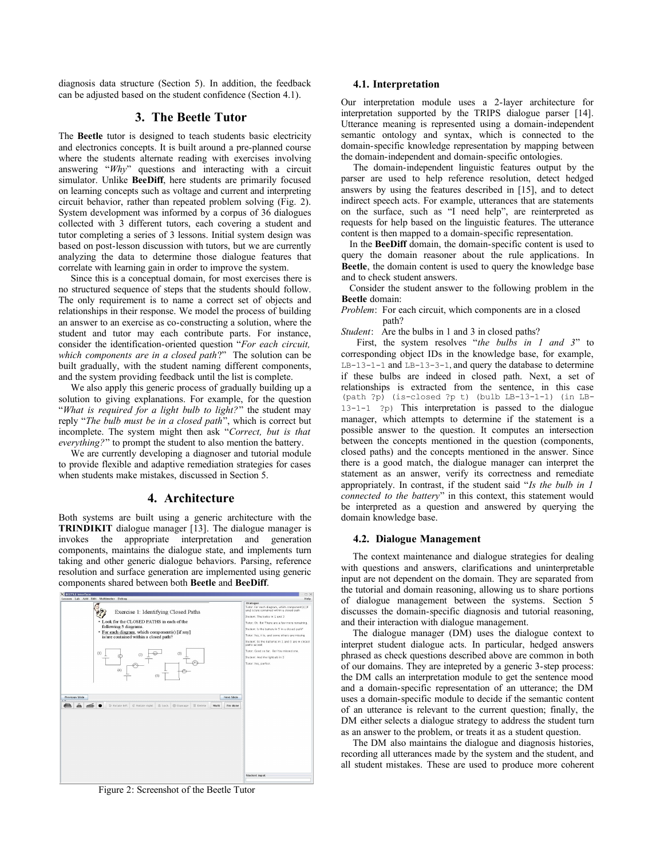diagnosis data structure (Section 5). In addition, the feedback can be adjusted based on the student confidence (Section 4.1).

# **3. The Beetle Tutor**

The **Beetle** tutor is designed to teach students basic electricity and electronics concepts. It is built around a pre-planned course where the students alternate reading with exercises involving answering "*Why*" questions and interacting with a circuit simulator. Unlike **BeeDiff**, here students are primarily focused on learning concepts such as voltage and current and interpreting circuit behavior, rather than repeated problem solving (Fig. 2). System development was informed by a corpus of 36 dialogues collected with 3 different tutors, each covering a student and tutor completing a series of 3 lessons. Initial system design was based on post-lesson discussion with tutors, but we are currently analyzing the data to determine those dialogue features that correlate with learning gain in order to improve the system.

Since this is a conceptual domain, for most exercises there is no structured sequence of steps that the students should follow. The only requirement is to name a correct set of objects and relationships in their response. We model the process of building an answer to an exercise as co-constructing a solution, where the student and tutor may each contribute parts. For instance, consider the identification-oriented question "*For each circuit, which components are in a closed path*?" The solution can be built gradually, with the student naming different components, and the system providing feedback until the list is complete.

We also apply this generic process of gradually building up a solution to giving explanations. For example, for the question "*What is required for a light bulb to light?*" the student may reply "*The bulb must be in a closed path*", which is correct but incomplete. The system might then ask "*Correct, but is that everything?*" to prompt the student to also mention the battery.

We are currently developing a diagnoser and tutorial module to provide flexible and adaptive remediation strategies for cases when students make mistakes, discussed in Section 5.

# **4. Architecture**

Both systems are built using a generic architecture with the **TRINDIKIT** dialogue manager [13]. The dialogue manager is invokes the appropriate interpretation and generation components, maintains the dialogue state, and implements turn taking and other generic dialogue behaviors. Parsing, reference resolution and surface generation are implemented using generic components shared between both **Beetle** and **BeeDiff**.



Figure 2: Screenshot of the Beetle Tutor

### **4.1. Interpretation**

Our interpretation module uses a 2-layer architecture for interpretation supported by the TRIPS dialogue parser [14]. Utterance meaning is represented using a domain-independent semantic ontology and syntax, which is connected to the domain-specific knowledge representation by mapping between the domain-independent and domain-specific ontologies.

The domain-independent linguistic features output by the parser are used to help reference resolution, detect hedged answers by using the features described in [15], and to detect indirect speech acts. For example, utterances that are statements on the surface, such as "I need help", are reinterpreted as requests for help based on the linguistic features. The utterance content is then mapped to a domain-specific representation.

In the **BeeDiff** domain, the domain-specific content is used to query the domain reasoner about the rule applications. In **Beetle**, the domain content is used to query the knowledge base and to check student answers.

Consider the student answer to the following problem in the **Beetle** domain:

*Problem*: For each circuit, which components are in a closed path?

*Student*: Are the bulbs in 1 and 3 in closed paths?

First, the system resolves "*the bulbs in 1 and 3*" to corresponding object IDs in the knowledge base, for example, LB-13-1-1 and LB-13-3-1, and query the database to determine if these bulbs are indeed in closed path. Next, a set of relationships is extracted from the sentence, in this case (path ?p) (is-closed ?p t) (bulb LB-13-1-1) (in LB-13-1-1 ?p) This interpretation is passed to the dialogue manager, which attempts to determine if the statement is a possible answer to the question. It computes an intersection between the concepts mentioned in the question (components, closed paths) and the concepts mentioned in the answer. Since there is a good match, the dialogue manager can interpret the statement as an answer, verify its correctness and remediate appropriately. In contrast, if the student said "*Is the bulb in 1 connected to the battery*" in this context, this statement would be interpreted as a question and answered by querying the domain knowledge base.

#### **4.2. Dialogue Management**

The context maintenance and dialogue strategies for dealing with questions and answers, clarifications and uninterpretable input are not dependent on the domain. They are separated from the tutorial and domain reasoning, allowing us to share portions of dialogue management between the systems. Section 5 discusses the domain-specific diagnosis and tutorial reasoning, and their interaction with dialogue management.

The dialogue manager (DM) uses the dialogue context to interpret student dialogue acts. In particular, hedged answers phrased as check questions described above are common in both of our domains. They are intepreted by a generic 3-step process: the DM calls an interpretation module to get the sentence mood and a domain-specific representation of an utterance; the DM uses a domain-specific module to decide if the semantic content of an utterance is relevant to the current question; finally, the DM either selects a dialogue strategy to address the student turn as an answer to the problem, or treats it as a student question.

The DM also maintains the dialogue and diagnosis histories, recording all utterances made by the system and the student, and all student mistakes. These are used to produce more coherent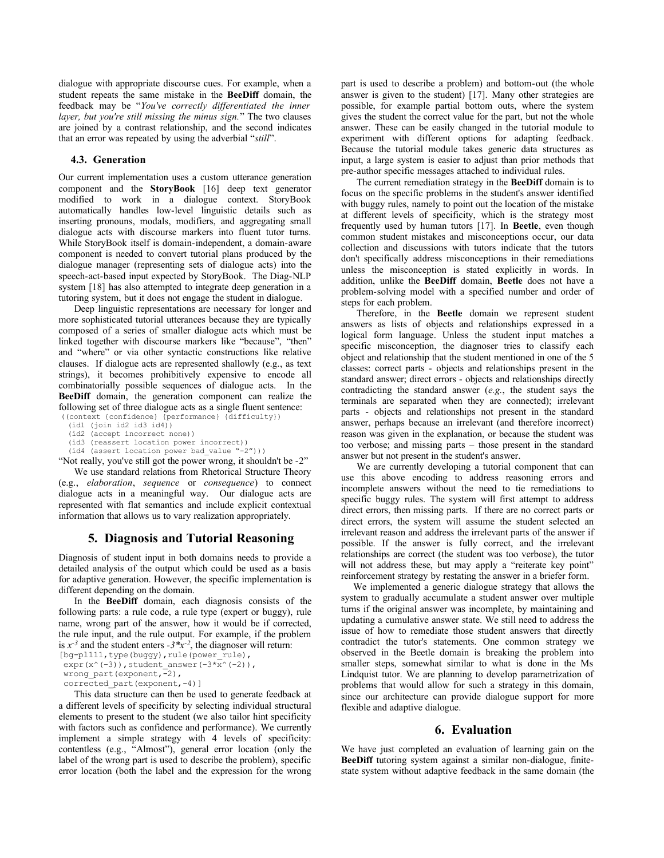dialogue with appropriate discourse cues. For example, when a student repeats the same mistake in the **BeeDiff** domain, the feedback may be "*You've correctly differentiated the inner layer, but you're still missing the minus sign.*" The two clauses are joined by a contrast relationship, and the second indicates that an error was repeated by using the adverbial "*still*".

#### **4.3. Generation**

Our current implementation uses a custom utterance generation component and the **StoryBook** [16] deep text generator modified to work in a dialogue context. StoryBook automatically handles low-level linguistic details such as inserting pronouns, modals, modifiers, and aggregating small dialogue acts with discourse markers into fluent tutor turns. While StoryBook itself is domain-independent, a domain-aware component is needed to convert tutorial plans produced by the dialogue manager (representing sets of dialogue acts) into the speech-act-based input expected by StoryBook. The Diag-NLP system [18] has also attempted to integrate deep generation in a tutoring system, but it does not engage the student in dialogue.

Deep linguistic representations are necessary for longer and more sophisticated tutorial utterances because they are typically composed of a series of smaller dialogue acts which must be linked together with discourse markers like "because", "then" and "where" or via other syntactic constructions like relative clauses. If dialogue acts are represented shallowly (e.g., as text strings), it becomes prohibitively expensive to encode all combinatorially possible sequences of dialogue acts. In the **BeeDiff** domain, the generation component can realize the following set of three dialogue acts as a single fluent sentence:

((context {confidence} {performance} {difficulty}) (id1 (join id2 id3 id4))

- (id2 (accept incorrect none))
- (id3 (reassert location power incorrect))
- (id4 (assert location power bad\_value "-2")))

"Not really, you've still got the power wrong, it shouldn't be -2"

We use standard relations from Rhetorical Structure Theory (e.g., *elaboration*, *sequence* or *consequence*) to connect dialogue acts in a meaningful way. Our dialogue acts are represented with flat semantics and include explicit contextual information that allows us to vary realization appropriately.

# **5. Diagnosis and Tutorial Reasoning**

Diagnosis of student input in both domains needs to provide a detailed analysis of the output which could be used as a basis for adaptive generation. However, the specific implementation is different depending on the domain.

In the **BeeDiff** domain, each diagnosis consists of the following parts: a rule code, a rule type (expert or buggy), rule name, wrong part of the answer, how it would be if corrected, the rule input, and the rule output. For example, if the problem is  $x^{-3}$  and the student enters  $-3*x^{-2}$ , the diagnoser will return:

[bg-pl111, type(buggy), rule(power\_rule),

 $\text{expr}(x^(-3))$ , student\_answer(-3\* $\overline{x}^(-2)$ ),

wrong part(exponent,-2), corrected part(exponent, -4)]

This data structure can then be used to generate feedback at a different levels of specificity by selecting individual structural elements to present to the student (we also tailor hint specificity with factors such as confidence and performance). We currently implement a simple strategy with 4 levels of specificity: contentless (e.g., "Almost"), general error location (only the label of the wrong part is used to describe the problem), specific error location (both the label and the expression for the wrong part is used to describe a problem) and bottom-out (the whole answer is given to the student) [17]. Many other strategies are possible, for example partial bottom outs, where the system gives the student the correct value for the part, but not the whole answer. These can be easily changed in the tutorial module to experiment with different options for adapting feedback. Because the tutorial module takes generic data structures as input, a large system is easier to adjust than prior methods that pre-author specific messages attached to individual rules.

The current remediation strategy in the **BeeDiff** domain is to focus on the specific problems in the student's answer identified with buggy rules, namely to point out the location of the mistake at different levels of specificity, which is the strategy most frequently used by human tutors [17]. In **Beetle**, even though common student mistakes and misconceptions occur, our data collection and discussions with tutors indicate that the tutors don't specifically address misconceptions in their remediations unless the misconception is stated explicitly in words. In addition, unlike the **BeeDiff** domain, **Beetle** does not have a problem-solving model with a specified number and order of steps for each problem.

Therefore, in the **Beetle** domain we represent student answers as lists of objects and relationships expressed in a logical form language. Unless the student input matches a specific misconception, the diagnoser tries to classify each object and relationship that the student mentioned in one of the 5 classes: correct parts - objects and relationships present in the standard answer; direct errors - objects and relationships directly contradicting the standard answer (*e.g.*, the student says the terminals are separated when they are connected); irrelevant parts - objects and relationships not present in the standard answer, perhaps because an irrelevant (and therefore incorrect) reason was given in the explanation, or because the student was too verbose; and missing parts – those present in the standard answer but not present in the student's answer.

We are currently developing a tutorial component that can use this above encoding to address reasoning errors and incomplete answers without the need to tie remediations to specific buggy rules. The system will first attempt to address direct errors, then missing parts. If there are no correct parts or direct errors, the system will assume the student selected an irrelevant reason and address the irrelevant parts of the answer if possible. If the answer is fully correct, and the irrelevant relationships are correct (the student was too verbose), the tutor will not address these, but may apply a "reiterate key point" reinforcement strategy by restating the answer in a briefer form.

We implemented a generic dialogue strategy that allows the system to gradually accumulate a student answer over multiple turns if the original answer was incomplete, by maintaining and updating a cumulative answer state. We still need to address the issue of how to remediate those student answers that directly contradict the tutor's statements. One common strategy we observed in the Beetle domain is breaking the problem into smaller steps, somewhat similar to what is done in the Ms Lindquist tutor. We are planning to develop parametrization of problems that would allow for such a strategy in this domain, since our architecture can provide dialogue support for more flexible and adaptive dialogue.

### **6. Evaluation**

We have just completed an evaluation of learning gain on the **BeeDiff** tutoring system against a similar non-dialogue, finitestate system without adaptive feedback in the same domain (the